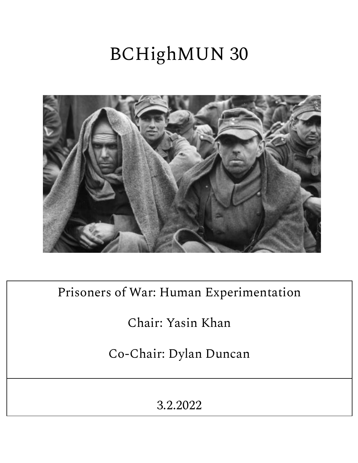# BCHighMUN 30



Prisoners of War: Human Experimentation

Chair: Yasin Khan

Co-Chair: Dylan Duncan

3.2.2022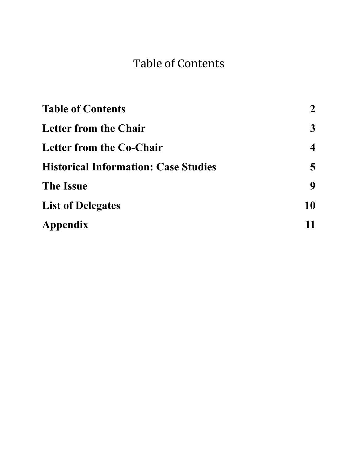# Table of Contents

<span id="page-1-0"></span>

| $2^{\circ}$  |
|--------------|
| $\mathbf{3}$ |
| 4            |
| 5            |
| 9            |
| 10           |
| 11           |
|              |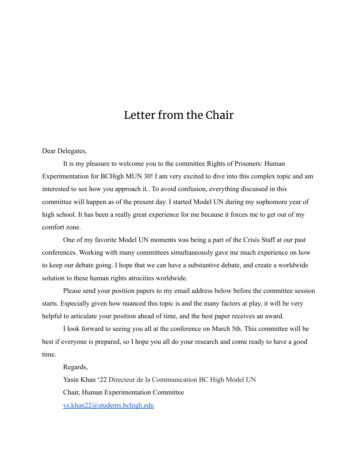# Letter from the Chair

#### <span id="page-2-0"></span>Dear Delegates,

It is my pleasure to welcome you to the committee Rights of Prisoners: Human Experimentation for BCHigh MUN 30! I am very excited to dive into this complex topic and am interested to see how you approach it.. To avoid confusion, everything discussed in this committee will happen as of the present day. I started Model UN during my sophomore year of high school. It has been a really great experience for me because it forces me to get out of my comfort zone.

One of my favorite Model UN moments was being a part of the Crisis Staff at our past conferences. Working with many committees simultaneously gave me much experience on how to keep our debate going. I hope that we can have a substantive debate, and create a worldwide solution to these human rights atrocities worldwide.

Please send your position papers to my email address below before the committee session starts. Especially given how nuanced this topic is and the many factors at play, it will be very helpful to articulate your position ahead of time, and the best paper receives an award.

I look forward to seeing you all at the conference on March 5th. This committee will be best if everyone is prepared, so I hope you all do your research and come ready to have a good time.

Regards,

Yasin Khan '22 Directeur de la Communication BC High Model UN Chair, Human Experimentation Committee [ys.khan22@students.bchigh.edu](mailto:ys.khan22@students.bchigh.edu)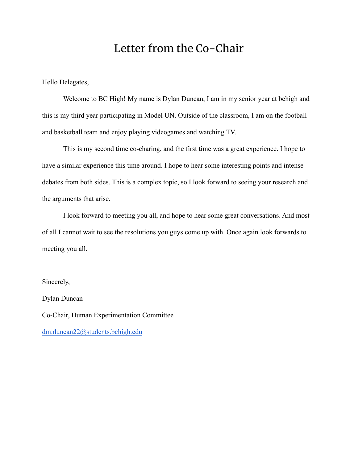# Letter from the Co-Chair

<span id="page-3-0"></span>Hello Delegates,

Welcome to BC High! My name is Dylan Duncan, I am in my senior year at bchigh and this is my third year participating in Model UN. Outside of the classroom, I am on the football and basketball team and enjoy playing videogames and watching TV.

This is my second time co-charing, and the first time was a great experience. I hope to have a similar experience this time around. I hope to hear some interesting points and intense debates from both sides. This is a complex topic, so I look forward to seeing your research and the arguments that arise.

I look forward to meeting you all, and hope to hear some great conversations. And most of all I cannot wait to see the resolutions you guys come up with. Once again look forwards to meeting you all.

Sincerely,

Dylan Duncan Co-Chair, Human Experimentation Committee [dm.duncan22@students.bchigh.edu](mailto:dm.duncan22@students.bchigh.edu)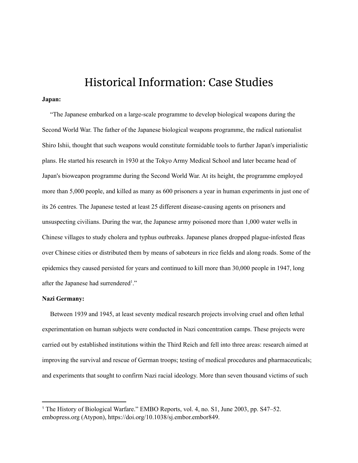### Historical Information: Case Studies

#### <span id="page-4-0"></span>**Japan:**

"The Japanese embarked on a large-scale programme to develop biological weapons during the Second World War. The father of the Japanese biological weapons programme, the radical nationalist Shiro Ishii, thought that such weapons would constitute formidable tools to further Japan's imperialistic plans. He started his research in 1930 at the Tokyo Army Medical School and later became head of Japan's bioweapon programme during the Second World War. At its height, the programme employed more than 5,000 people, and killed as many as 600 prisoners a year in human experiments in just one of its 26 centres. The Japanese tested at least 25 different disease-causing agents on prisoners and unsuspecting civilians. During the war, the Japanese army poisoned more than 1,000 water wells in Chinese villages to study cholera and typhus outbreaks. Japanese planes dropped plague-infested fleas over Chinese cities or distributed them by means of saboteurs in rice fields and along roads. Some of the epidemics they caused persisted for years and continued to kill more than 30,000 people in 1947, long after the Japanese had surrendered<sup>1</sup>."

#### **Nazi Germany:**

Between 1939 and 1945, at least seventy medical research projects involving cruel and often lethal experimentation on human subjects were conducted in Nazi concentration camps. These projects were carried out by established institutions within the Third Reich and fell into three areas: research aimed at improving the survival and rescue of German troops; testing of medical procedures and pharmaceuticals; and experiments that sought to confirm Nazi racial ideology. More than seven thousand victims of such

<sup>1</sup> The History of Biological Warfare." EMBO Reports, vol. 4, no. S1, June 2003, pp. S47–52. embopress.org (Atypon), https://doi.org/10.1038/sj.embor.embor849.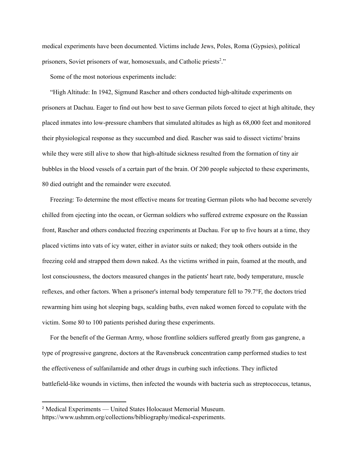medical experiments have been documented. Victims include Jews, Poles, Roma (Gypsies), political prisoners, Soviet prisoners of war, homosexuals, and Catholic priests<sup>2</sup>."

Some of the most notorious experiments include:

"High Altitude: In 1942, Sigmund Rascher and others conducted high-altitude experiments on prisoners at Dachau. Eager to find out how best to save German pilots forced to eject at high altitude, they placed inmates into low-pressure chambers that simulated altitudes as high as 68,000 feet and monitored their physiological response as they succumbed and died. Rascher was said to dissect victims' brains while they were still alive to show that high-altitude sickness resulted from the formation of tiny air bubbles in the blood vessels of a certain part of the brain. Of 200 people subjected to these experiments, 80 died outright and the remainder were executed.

Freezing: To determine the most effective means for treating German pilots who had become severely chilled from ejecting into the ocean, or German soldiers who suffered extreme exposure on the Russian front, Rascher and others conducted freezing experiments at Dachau. For up to five hours at a time, they placed victims into vats of icy water, either in aviator suits or naked; they took others outside in the freezing cold and strapped them down naked. As the victims writhed in pain, foamed at the mouth, and lost consciousness, the doctors measured changes in the patients' heart rate, body temperature, muscle reflexes, and other factors. When a prisoner's internal body temperature fell to 79.7°F, the doctors tried rewarming him using hot sleeping bags, scalding baths, even naked women forced to copulate with the victim. Some 80 to 100 patients perished during these experiments.

For the benefit of the German Army, whose frontline soldiers suffered greatly from gas gangrene, a type of progressive gangrene, doctors at the Ravensbruck concentration camp performed studies to test the effectiveness of sulfanilamide and other drugs in curbing such infections. They inflicted battlefield-like wounds in victims, then infected the wounds with bacteria such as streptococcus, tetanus,

<sup>2</sup> Medical Experiments — United States Holocaust Memorial Museum. https://www.ushmm.org/collections/bibliography/medical-experiments.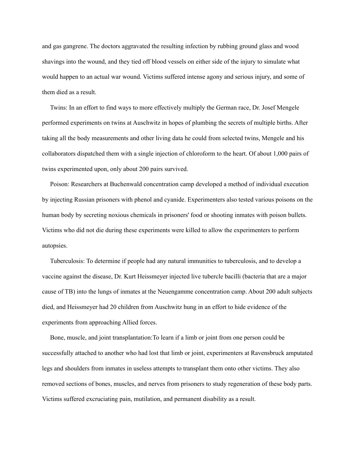and gas gangrene. The doctors aggravated the resulting infection by rubbing ground glass and wood shavings into the wound, and they tied off blood vessels on either side of the injury to simulate what would happen to an actual war wound. Victims suffered intense agony and serious injury, and some of them died as a result.

Twins: In an effort to find ways to more effectively multiply the German race, Dr. Josef Mengele performed experiments on twins at Auschwitz in hopes of plumbing the secrets of multiple births. After taking all the body measurements and other living data he could from selected twins, Mengele and his collaborators dispatched them with a single injection of chloroform to the heart. Of about 1,000 pairs of twins experimented upon, only about 200 pairs survived.

Poison: Researchers at Buchenwald concentration camp developed a method of individual execution by injecting Russian prisoners with phenol and cyanide. Experimenters also tested various poisons on the human body by secreting noxious chemicals in prisoners' food or shooting inmates with poison bullets. Victims who did not die during these experiments were killed to allow the experimenters to perform autopsies.

Tuberculosis: To determine if people had any natural immunities to tuberculosis, and to develop a vaccine against the disease, Dr. Kurt Heissmeyer injected live tubercle bacilli (bacteria that are a major cause of TB) into the lungs of inmates at the Neuengamme concentration camp. About 200 adult subjects died, and Heissmeyer had 20 children from Auschwitz hung in an effort to hide evidence of the experiments from approaching Allied forces.

Bone, muscle, and joint transplantation:To learn if a limb or joint from one person could be successfully attached to another who had lost that limb or joint, experimenters at Ravensbruck amputated legs and shoulders from inmates in useless attempts to transplant them onto other victims. They also removed sections of bones, muscles, and nerves from prisoners to study regeneration of these body parts. Victims suffered excruciating pain, mutilation, and permanent disability as a result.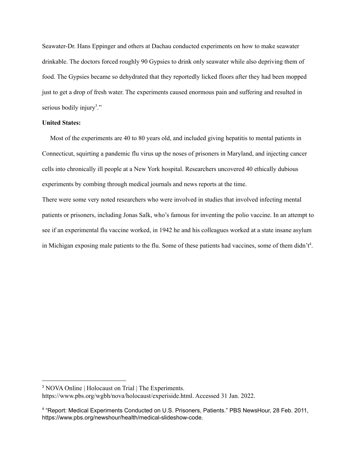Seawater-Dr. Hans Eppinger and others at Dachau conducted experiments on how to make seawater drinkable. The doctors forced roughly 90 Gypsies to drink only seawater while also depriving them of food. The Gypsies became so dehydrated that they reportedly licked floors after they had been mopped just to get a drop of fresh water. The experiments caused enormous pain and suffering and resulted in serious bodily injury<sup>3</sup>."

#### **United States:**

Most of the experiments are 40 to 80 years old, and included giving hepatitis to mental patients in Connecticut, squirting a pandemic flu virus up the noses of prisoners in Maryland, and injecting cancer cells into chronically ill people at a New York hospital. Researchers uncovered 40 ethically dubious experiments by combing through medical journals and news reports at the time.

There were some very noted researchers who were involved in studies that involved infecting mental patients or prisoners, including Jonas Salk, who's famous for inventing the polio vaccine. In an attempt to see if an experimental flu vaccine worked, in 1942 he and his colleagues worked at a state insane asylum in Michigan exposing male patients to the flu. Some of these patients had vaccines, some of them didn't<sup>4</sup>.

<sup>3</sup> NOVA Online | Holocaust on Trial | The Experiments.

https://www.pbs.org/wgbh/nova/holocaust/experiside.html. Accessed 31 Jan. 2022.

<sup>4</sup> "Report: Medical Experiments Conducted on U.S. Prisoners, Patients." PBS NewsHour, 28 Feb. 2011, https://www.pbs.org/newshour/health/medical-slideshow-code.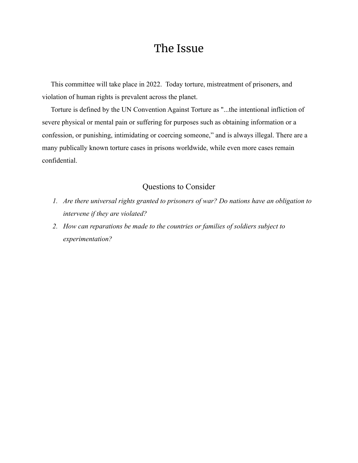# The Issue

<span id="page-8-0"></span>This committee will take place in 2022. Today torture, mistreatment of prisoners, and violation of human rights is prevalent across the planet.

Torture is defined by the UN Convention Against Torture as "...the intentional infliction of severe physical or mental pain or suffering for purposes such as obtaining information or a confession, or punishing, intimidating or coercing someone," and is always illegal. There are a many publically known torture cases in prisons worldwide, while even more cases remain confidential.

#### Questions to Consider

- *1. Are there universal rights granted to prisoners of war? Do nations have an obligation to intervene if they are violated?*
- *2. How can reparations be made to the countries or families of soldiers subject to experimentation?*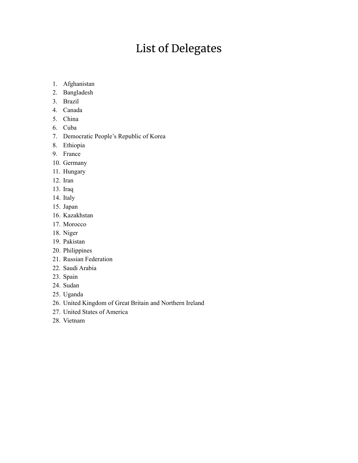# List of Delegates

- <span id="page-9-0"></span>1. Afghanistan
- 2. Bangladesh
- 3. Brazil
- 4. Canada
- 5. China
- 6. Cuba
- 7. Democratic People's Republic of Korea
- 8. Ethiopia
- 9. France
- 10. Germany
- 11. Hungary
- 12. Iran
- 13. Iraq
- 14. Italy
- 15. Japan
- 16. Kazakhstan
- 17. Morocco
- 18. Niger
- 19. Pakistan
- 20. Philippines
- 21. Russian Federation
- 22. Saudi Arabia
- 23. Spain
- 24. Sudan
- 25. Uganda
- 26. United Kingdom of Great Britain and Northern Ireland
- 27. United States of America
- 28. Vietnam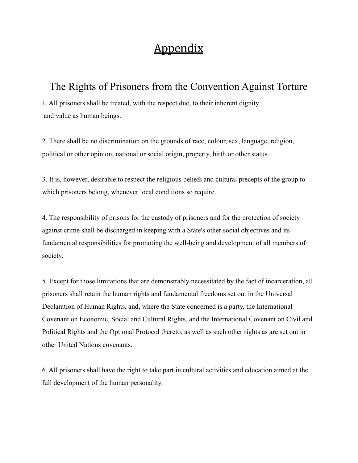# **Appendix**

### <span id="page-10-0"></span>The Rights of Prisoners from the Convention Against Torture

1. All prisoners shall be treated, with the respect due, to their inherent dignity and value as human beings.

2. There shall be no discrimination on the grounds of race, colour, sex, language, religion, political or other opinion, national or social origin, property, birth or other status.

3. It is, however, desirable to respect the religious beliefs and cultural precepts of the group to which prisoners belong, whenever local conditions so require.

4. The responsibility of prisons for the custody of prisoners and for the protection of society against crime shall be discharged in keeping with a State's other social objectives and its fundamental responsibilities for promoting the well-being and development of all members of society.

5. Except for those limitations that are demonstrably necessitated by the fact of incarceration, all prisoners shall retain the human rights and fundamental freedoms set out in the Universal Declaration of Human Rights, and, where the State concerned is a party, the International Covenant on Economic, Social and Cultural Rights, and the International Covenant on Civil and Political Rights and the Optional Protocol thereto, as well as such other rights as are set out in other United Nations covenants.

6. All prisoners shall have the right to take part in cultural activities and education aimed at the full development of the human personality.